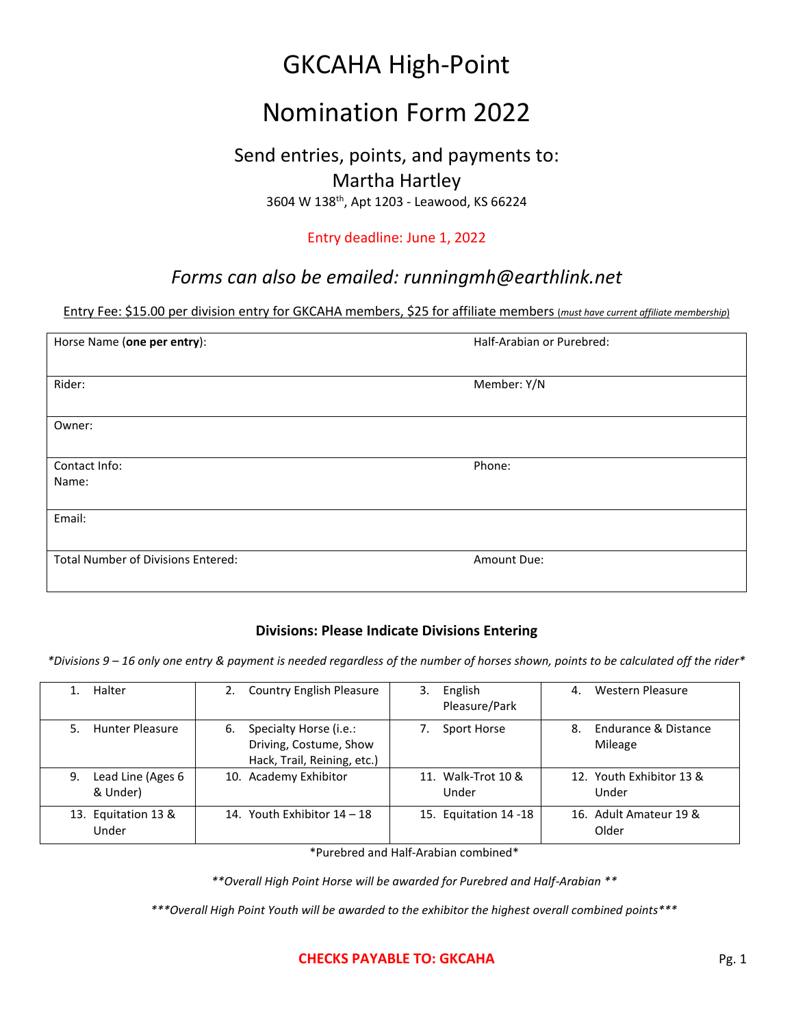# GKCAHA High-Point

## Nomination Form 2022

## Send entries, points, and payments to: Martha Hartley

3604 W 138th, Apt 1203 - Leawood, KS 66224

### Entry deadline: June 1, 2022

## *Forms can also be emailed: runningmh@earthlink.net*

#### Entry Fee: \$15.00 per division entry for GKCAHA members, \$25 for affiliate members (*must have current affiliate membership*)

| Horse Name (one per entry):               | Half-Arabian or Purebred: |  |
|-------------------------------------------|---------------------------|--|
|                                           |                           |  |
| Rider:                                    | Member: Y/N               |  |
|                                           |                           |  |
| Owner:                                    |                           |  |
|                                           |                           |  |
| Contact Info:                             | Phone:                    |  |
| Name:                                     |                           |  |
|                                           |                           |  |
| Email:                                    |                           |  |
|                                           |                           |  |
| <b>Total Number of Divisions Entered:</b> | Amount Due:               |  |
|                                           |                           |  |

### **Divisions: Please Indicate Divisions Entering**

*\*Divisions 9 – 16 only one entry & payment is needed regardless of the number of horses shown, points to be calculated off the rider\**

| Halter                              | <b>Country English Pleasure</b><br>2.                                                 | English<br>3.<br>Pleasure/Park | <b>Western Pleasure</b><br>4.                    |
|-------------------------------------|---------------------------------------------------------------------------------------|--------------------------------|--------------------------------------------------|
| Hunter Pleasure<br>5.               | Specialty Horse (i.e.:<br>6.<br>Driving, Costume, Show<br>Hack, Trail, Reining, etc.) | Sport Horse                    | <b>Endurance &amp; Distance</b><br>8.<br>Mileage |
| Lead Line (Ages 6<br>9.<br>& Under) | 10. Academy Exhibitor                                                                 | 11. Walk-Trot 10 &<br>Under    | 12. Youth Exhibitor 13 &<br>Under                |
| 13. Equitation 13 &<br>Under        | 14. Youth Exhibitor 14 - 18                                                           | 15. Equitation 14 -18          | 16. Adult Amateur 19 &<br>Older                  |

\*Purebred and Half-Arabian combined\*

*\*\*Overall High Point Horse will be awarded for Purebred and Half-Arabian \*\**

*\*\*\*Overall High Point Youth will be awarded to the exhibitor the highest overall combined points\*\*\**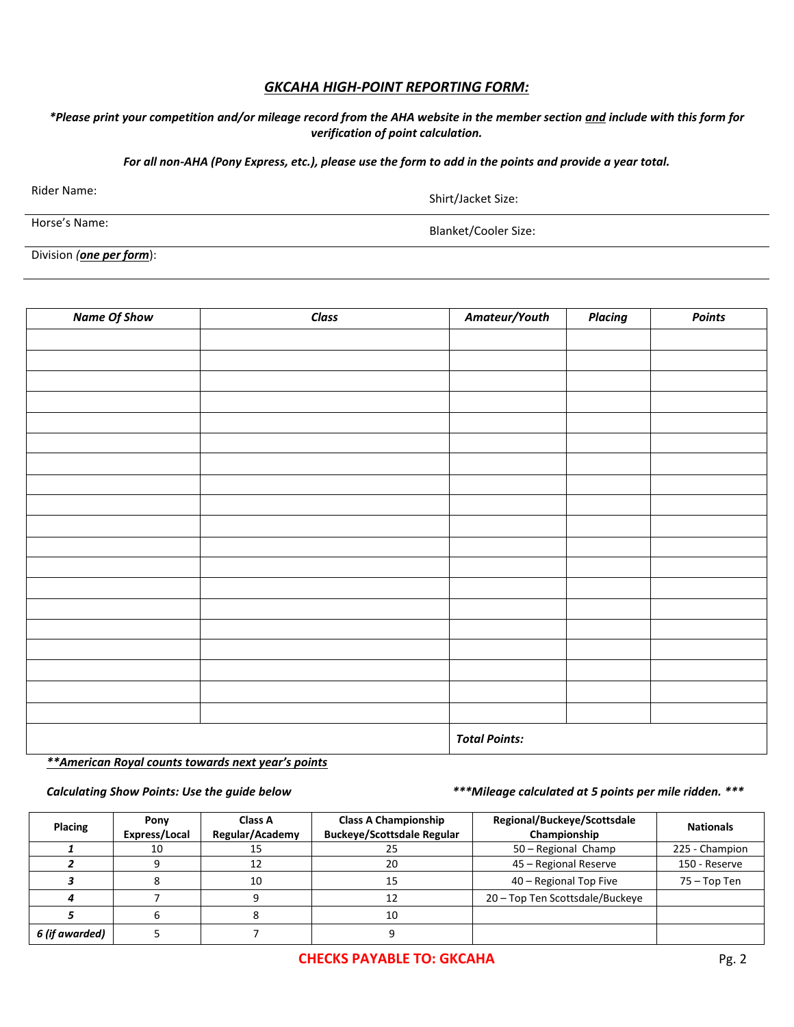#### *GKCAHA HIGH-POINT REPORTING FORM:*

#### *\*Please print your competition and/or mileage record from the AHA website in the member section and include with this form for verification of point calculation.*

*For all non-AHA (Pony Express, etc.), please use the form to add in the points and provide a year total.*

Rider Name: Shirt/Jacket Size:

Horse's Name: Example 2012 12: The Second State State State State State State State State State State State State State State State State State State State State State State State State State State State State State State

Division *(one per form*):

| <b>Name Of Show</b> | Class | Amateur/Youth | <b>Placing</b>       | Points |  |
|---------------------|-------|---------------|----------------------|--------|--|
|                     |       |               |                      |        |  |
|                     |       |               |                      |        |  |
|                     |       |               |                      |        |  |
|                     |       |               |                      |        |  |
|                     |       |               |                      |        |  |
|                     |       |               |                      |        |  |
|                     |       |               |                      |        |  |
|                     |       |               |                      |        |  |
|                     |       |               |                      |        |  |
|                     |       |               |                      |        |  |
|                     |       |               |                      |        |  |
|                     |       |               |                      |        |  |
|                     |       |               |                      |        |  |
|                     |       |               |                      |        |  |
|                     |       |               |                      |        |  |
|                     |       |               |                      |        |  |
|                     |       |               |                      |        |  |
|                     |       |               |                      |        |  |
|                     |       |               |                      |        |  |
|                     |       |               | <b>Total Points:</b> |        |  |

*\*\*American Royal counts towards next year's points*

*Calculating Show Points: Use the guide below \*\*\*Mileage calculated at 5 points per mile ridden. \*\*\**

| Placing        | Pony<br>Express/Local | <b>Class A</b><br>Regular/Academy | <b>Class A Championship</b><br><b>Buckeye/Scottsdale Regular</b> | Regional/Buckeye/Scottsdale<br>Championship | <b>Nationals</b> |
|----------------|-----------------------|-----------------------------------|------------------------------------------------------------------|---------------------------------------------|------------------|
|                | 10                    | LJ                                | 25                                                               | 50 - Regional Champ                         | 225 - Champion   |
|                |                       |                                   | 20                                                               | 45 - Regional Reserve                       | 150 - Reserve    |
|                |                       | 10                                | 15                                                               | 40 – Regional Top Five                      | 75 – Top Ten     |
|                |                       |                                   |                                                                  | 20 - Top Ten Scottsdale/Buckeye             |                  |
|                |                       |                                   | 10                                                               |                                             |                  |
| 6 (if awarded) |                       |                                   |                                                                  |                                             |                  |